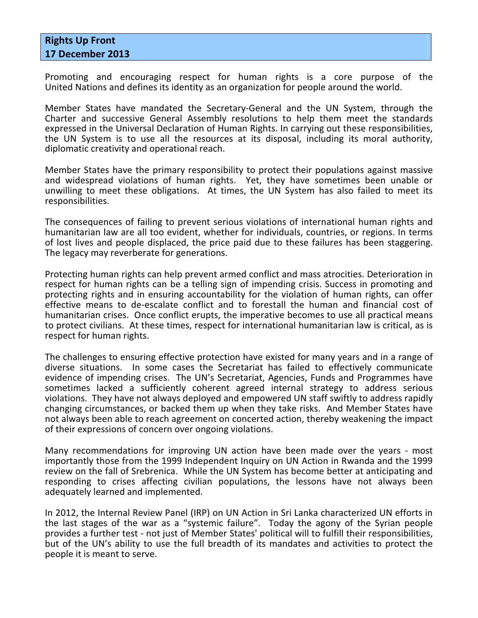## Rights Up Front 17 December 2013

Promoting and encouraging respect for human rights is a core purpose of the United Nations and defines its identity as an organization for people around the world.

Member States have mandated the Secretary-General and the UN System, through the Charter and successive General Assembly resolutions to help them meet the standards expressed in the Universal Declaration of Human Rights. In carrying out these responsibilities, the UN System is to use all the resources at its disposal, including its moral authority, diplomatic creativity and operational reach.

Member States have the primary responsibility to protect their populations against massive and widespread violations of human rights. Yet, they have sometimes been unable or unwilling to meet these obligations. At times, the UN System has also failed to meet its responsibilities.

The consequences of failing to prevent serious violations of international human rights and humanitarian law are all too evident, whether for individuals, countries, or regions. In terms of lost lives and people displaced, the price paid due to these failures has been staggering. The legacy may reverberate for generations.

Protecting human rights can help prevent armed conflict and mass atrocities. Deterioration in respect for human rights can be a telling sign of impending crisis. Success in promoting and protecting rights and in ensuring accountability for the violation of human rights, can offer effective means to de-escalate conflict and to forestall the human and financial cost of humanitarian crises. Once conflict erupts, the imperative becomes to use all practical means to protect civilians. At these times, respect for international humanitarian law is critical, as is respect for human rights.

The challenges to ensuring effective protection have existed for many years and in a range of diverse situations. In some cases the Secretariat has failed to effectively communicate evidence of impending crises. The UN's Secretariat, Agencies, Funds and Programmes have sometimes lacked a sufficiently coherent agreed internal strategy to address serious violations. They have not always deployed and empowered UN staff swiftly to address rapidly changing circumstances, or backed them up when they take risks. And Member States have not always been able to reach agreement on concerted action, thereby weakening the impact of their expressions of concern over ongoing violations.

Many recommendations for improving UN action have been made over the years - most importantly those from the 1999 Independent Inquiry on UN Action in Rwanda and the 1999 review on the fall of Srebrenica. While the UN System has become better at anticipating and responding to crises affecting civilian populations, the lessons have not always been adequately learned and implemented.

In 2012, the Internal Review Panel (IRP) on UN Action in Sri Lanka characterized UN efforts in the last stages of the war as a "systemic failure". Today the agony of the Syrian people provides a further test - not just of Member States' political will to fulfill their responsibilities, but of the UN's ability to use the full breadth of its mandates and activities to protect the people it is meant to serve.